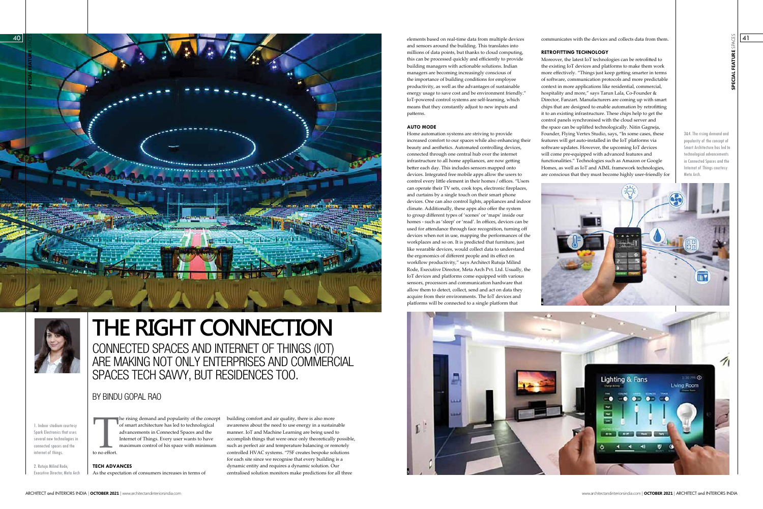# BY BINDU GOPAL RAO



CONNECTED SPACES AND INTERNET OF THINGS (IOT) ARE MAKING NOT ONLY ENTERPRISES AND COMMERCIAL SPACES TECH SAVVY, BUT RESIDENCES TOO.

# **THE RIGHT CONNECTION**

1. Indoor stadium courtesy Spark Electronics that uses several new technologies in connected spaces and the internet of things.

2. Rutuja Milind Rode, Executive Director, Meta Arch he rising demand and popularity of the concept of smart architecture has led to technological

T to no effort. advancements in Connected Spaces and the Internet of Things. Every user wants to have maximum control of his space with minimum

**TECH ADVANCES** As the expectation of consumers increases in terms of building comfort and air quality, there is also more awareness about the need to use energy in a sustainable manner. IoT and Machine Learning are being used to accomplish things that were once only theoretically possible, such as perfect air and temperature balancing or remotely controlled HVAC systems. "75F creates bespoke solutions for each site since we recognise that every building is a dynamic entity and requires a dynamic solution. Our centralised solution monitors make predictions for all three



**SPECIAL FEATURE** SPACES

www.architectandinteriorsindia.com | **OCTOBER 2021** | ARCHITECT and INTERIORS INDIA

41

3&4. The rising demand and popularity of the concept of Smart Architecture has led to technological advancements in Connected Spaces and the Internet of Things courtesy Meta Arch.

communicates with the devices and collects data from them.

#### **RETROFITTING TECHNOLOGY**

Moreover, the latest IoT technologies can be retrofitted to the existing IoT devices and platforms to make them work more effectively. "Things just keep getting smarter in terms of software, communication protocols and more predictable context in more applications like residential, commercial, hospitality and more," says Tarun Lala, Co-Founder & Director, Fanzart. Manufacturers are coming up with smart chips that are designed to enable automation by retrofitting it to an existing infrastructure. These chips help to get the control panels synchronised with the cloud server and the space can be uplifted technologically. Nitin Gagneja, Founder, Flying Vertex Studio, says, "In some cases, these features will get auto-installed in the IoT platforms via software updates. However, the upcoming IoT devices will come pre-equipped with advanced features and functionalities." Technologies such as Amazon or Google Homes, as well as IoT and AIML framework technologies, are conscious that they must become highly user-friendly for

elements based on real-time data from multiple devices and sensors around the building. This translates into millions of data points, but thanks to cloud computing, this can be processed quickly and efficiently to provide building managers with actionable solutions. Indian managers are becoming increasingly conscious of the importance of building conditions for employee productivity, as well as the advantages of sustainable energy usage to save cost and be environment friendly." IoT-powered control systems are self-learning, which means that they constantly adjust to new inputs and patterns.

# **AUTO MODE**



Home automation systems are striving to provide increased comfort to our spaces while also enhancing their beauty and aesthetics. Automated controlling devices, connected through one central hub over the internet infrastructure to all home appliances, are now getting better each day. This includes sensors mapped onto devices. Integrated free mobile apps allow the users to control every little element in their homes / offices. "Users can operate their TV sets, cook tops, electronic fireplaces, and curtains by a single touch on their smart phone devices. One can also control lights, appliances and indoor climate. Additionally, these apps also offer the system to group different types of 'scenes' or 'maps' inside our homes - such as 'sleep' or 'read'. In offices, devices can be used for attendance through face recognition, turning off devices when not in use, mapping the performances of the workplaces and so on. It is predicted that furniture, just like wearable devices, would collect data to understand the ergonomics of different people and its effect on workflow productivity," says Architect Rutuja Milind Rode, Executive Director, Meta Arch Pvt. Ltd. Usually, the IoT devices and platforms come equipped with various sensors, processors and communication hardware that allow them to detect, collect, send and act on data they acquire from their environments. The IoT devices and